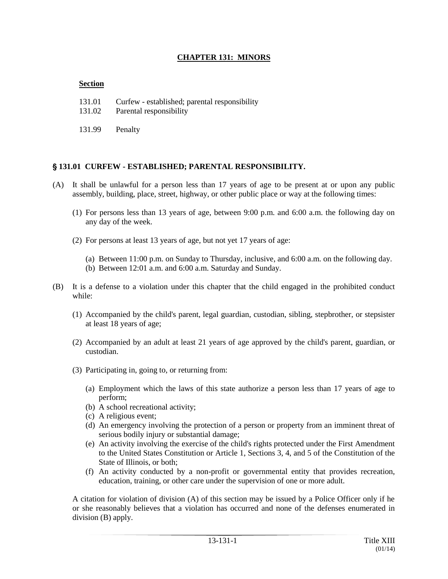### **CHAPTER 131: MINORS**

### **Section**

- 131.01 Curfew established; parental responsibility
- 131.02 Parental responsibility
- 131.99 Penalty

### ' **131.01 CURFEW - ESTABLISHED; PARENTAL RESPONSIBILITY.**

- (A) It shall be unlawful for a person less than 17 years of age to be present at or upon any public assembly, building, place, street, highway, or other public place or way at the following times:
	- (1) For persons less than 13 years of age, between 9:00 p.m. and 6:00 a.m. the following day on any day of the week.
	- (2) For persons at least 13 years of age, but not yet 17 years of age:
		- (a) Between 11:00 p.m. on Sunday to Thursday, inclusive, and 6:00 a.m. on the following day.
		- (b) Between 12:01 a.m. and 6:00 a.m. Saturday and Sunday.
- (B) It is a defense to a violation under this chapter that the child engaged in the prohibited conduct while:
	- (1) Accompanied by the child's parent, legal guardian, custodian, sibling, stepbrother, or stepsister at least 18 years of age;
	- (2) Accompanied by an adult at least 21 years of age approved by the child's parent, guardian, or custodian.
	- (3) Participating in, going to, or returning from:
		- (a) Employment which the laws of this state authorize a person less than 17 years of age to perform;
		- (b) A school recreational activity;
		- (c) A religious event;
		- (d) An emergency involving the protection of a person or property from an imminent threat of serious bodily injury or substantial damage;
		- (e) An activity involving the exercise of the child's rights protected under the First Amendment to the United States Constitution or Article 1, Sections 3, 4, and 5 of the Constitution of the State of Illinois, or both;
		- (f) An activity conducted by a non-profit or governmental entity that provides recreation, education, training, or other care under the supervision of one or more adult.

A citation for violation of division (A) of this section may be issued by a Police Officer only if he or she reasonably believes that a violation has occurred and none of the defenses enumerated in division (B) apply.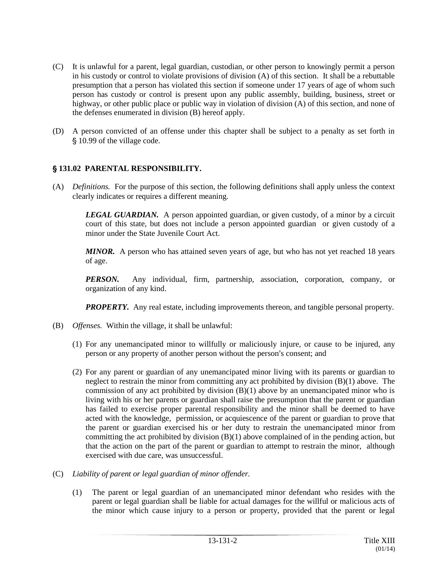- (C) It is unlawful for a parent, legal guardian, custodian, or other person to knowingly permit a person in his custody or control to violate provisions of division (A) of this section. It shall be a rebuttable presumption that a person has violated this section if someone under 17 years of age of whom such person has custody or control is present upon any public assembly, building, business, street or highway, or other public place or public way in violation of division (A) of this section, and none of the defenses enumerated in division (B) hereof apply.
- (D) A person convicted of an offense under this chapter shall be subject to a penalty as set forth in § 10.99 of the village code.

## ' **131.02 PARENTAL RESPONSIBILITY.**

(A) *Definitions.* For the purpose of this section, the following definitions shall apply unless the context clearly indicates or requires a different meaning.

**LEGAL GUARDIAN.** A person appointed guardian, or given custody, of a minor by a circuit court of this state, but does not include a person appointed guardian or given custody of a minor under the State Juvenile Court Act.

*MINOR.* A person who has attained seven years of age, but who has not yet reached 18 years of age.

*PERSON.* Any individual, firm, partnership, association, corporation, company, or organization of any kind.

*PROPERTY.* Any real estate, including improvements thereon, and tangible personal property.

- (B) *Offenses.* Within the village, it shall be unlawful:
	- (1) For any unemancipated minor to willfully or maliciously injure, or cause to be injured, any person or any property of another person without the person's consent; and
	- (2) For any parent or guardian of any unemancipated minor living with its parents or guardian to neglect to restrain the minor from committing any act prohibited by division (B)(1) above. The commission of any act prohibited by division (B)(1) above by an unemancipated minor who is living with his or her parents or guardian shall raise the presumption that the parent or guardian has failed to exercise proper parental responsibility and the minor shall be deemed to have acted with the knowledge, permission, or acquiescence of the parent or guardian to prove that the parent or guardian exercised his or her duty to restrain the unemancipated minor from committing the act prohibited by division (B)(1) above complained of in the pending action, but that the action on the part of the parent or guardian to attempt to restrain the minor, although exercised with due care, was unsuccessful.
- (C) *Liability of parent or legal guardian of minor offender.*
	- (1) The parent or legal guardian of an unemancipated minor defendant who resides with the parent or legal guardian shall be liable for actual damages for the willful or malicious acts of the minor which cause injury to a person or property, provided that the parent or legal